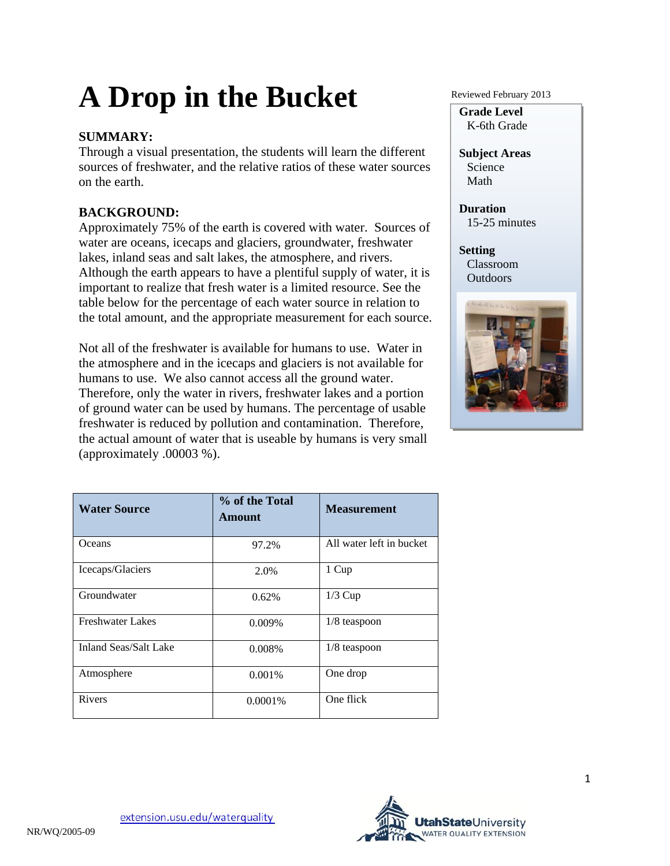# **A Drop in the Bucket**

### **SUMMARY:**

Through a visual presentation, the students will learn the different sources of freshwater, and the relative ratios of these water sources on the earth.

## **BACKGROUND:**

Approximately 75% of the earth is covered with water. Sources of water are oceans, icecaps and glaciers, groundwater, freshwater lakes, inland seas and salt lakes, the atmosphere, and rivers. Although the earth appears to have a plentiful supply of water, it is important to realize that fresh water is a limited resource. See the table below for the percentage of each water source in relation to the total amount, and the appropriate measurement for each source.

Not all of the freshwater is available for humans to use. Water in the atmosphere and in the icecaps and glaciers is not available for humans to use. We also cannot access all the ground water. Therefore, only the water in rivers, freshwater lakes and a portion of ground water can be used by humans. The percentage of usable freshwater is reduced by pollution and contamination. Therefore, the actual amount of water that is useable by humans is very small (approximately .00003 %).

| <b>Water Source</b>          | % of the Total<br><b>Amount</b> | <b>Measurement</b>       |
|------------------------------|---------------------------------|--------------------------|
| Oceans                       | 97.2%                           | All water left in bucket |
| Icecaps/Glaciers             | 2.0%                            | 1 Cup                    |
| Groundwater                  | 0.62%                           | $1/3$ Cup                |
| <b>Freshwater Lakes</b>      | $0.009\%$                       | $1/8$ teaspoon           |
| <b>Inland Seas/Salt Lake</b> | 0.008%                          | $1/8$ teaspoon           |
| Atmosphere                   | 0.001%                          | One drop                 |
| Rivers                       | $0.0001\%$                      | One flick                |

Reviewed February 2013

**Grade Level**  K-6th Grade

**Subject Areas**  Science Math

**Duration**  15-25 minutes

**Setting**  Classroom **Outdoors** 

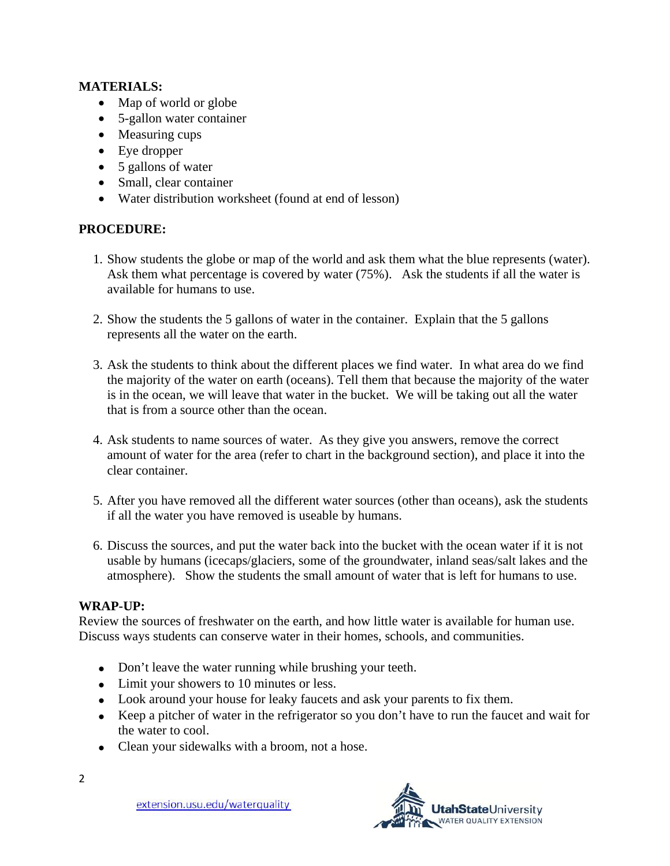#### **MATERIALS:**

- Map of world or globe
- 5-gallon water container
- Measuring cups
- Eye dropper
- 5 gallons of water
- Small, clear container
- Water distribution worksheet (found at end of lesson)

#### **PROCEDURE:**

- 1. Show students the globe or map of the world and ask them what the blue represents (water). Ask them what percentage is covered by water (75%). Ask the students if all the water is available for humans to use.
- 2. Show the students the 5 gallons of water in the container. Explain that the 5 gallons represents all the water on the earth.
- 3. Ask the students to think about the different places we find water. In what area do we find the majority of the water on earth (oceans). Tell them that because the majority of the water is in the ocean, we will leave that water in the bucket. We will be taking out all the water that is from a source other than the ocean.
- 4. Ask students to name sources of water. As they give you answers, remove the correct amount of water for the area (refer to chart in the background section), and place it into the clear container.
- 5. After you have removed all the different water sources (other than oceans), ask the students if all the water you have removed is useable by humans.
- 6. Discuss the sources, and put the water back into the bucket with the ocean water if it is not usable by humans (icecaps/glaciers, some of the groundwater, inland seas/salt lakes and the atmosphere). Show the students the small amount of water that is left for humans to use.

#### **WRAP-UP:**

Review the sources of freshwater on the earth, and how little water is available for human use. Discuss ways students can conserve water in their homes, schools, and communities.

- Don't leave the water running while brushing your teeth.
- Limit your showers to 10 minutes or less.
- Look around your house for leaky faucets and ask your parents to fix them.
- Keep a pitcher of water in the refrigerator so you don't have to run the faucet and wait for the water to cool.
- Clean your sidewalks with a broom, not a hose.



extension.usu.edu/waterquality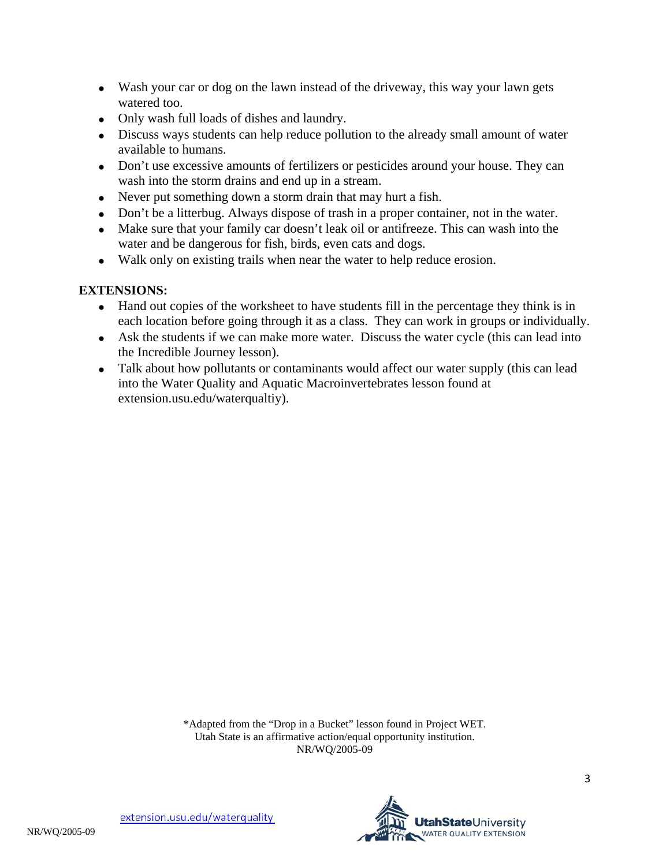- Wash your car or dog on the lawn instead of the driveway, this way your lawn gets watered too.
- Only wash full loads of dishes and laundry.
- Discuss ways students can help reduce pollution to the already small amount of water available to humans.
- Don't use excessive amounts of fertilizers or pesticides around your house. They can wash into the storm drains and end up in a stream.
- Never put something down a storm drain that may hurt a fish.
- Don't be a litterbug. Always dispose of trash in a proper container, not in the water.
- Make sure that your family car doesn't leak oil or antifreeze. This can wash into the water and be dangerous for fish, birds, even cats and dogs.
- Walk only on existing trails when near the water to help reduce erosion.

#### **EXTENSIONS:**

- Hand out copies of the worksheet to have students fill in the percentage they think is in each location before going through it as a class. They can work in groups or individually.
- Ask the students if we can make more water. Discuss the water cycle (this can lead into the Incredible Journey lesson).
- Talk about how pollutants or contaminants would affect our water supply (this can lead into the Water Quality and Aquatic Macroinvertebrates lesson found at extension.usu.edu/waterqualtiy).

\*Adapted from the "Drop in a Bucket" lesson found in Project WET. Utah State is an affirmative action/equal opportunity institution. NR/WQ/2005-09